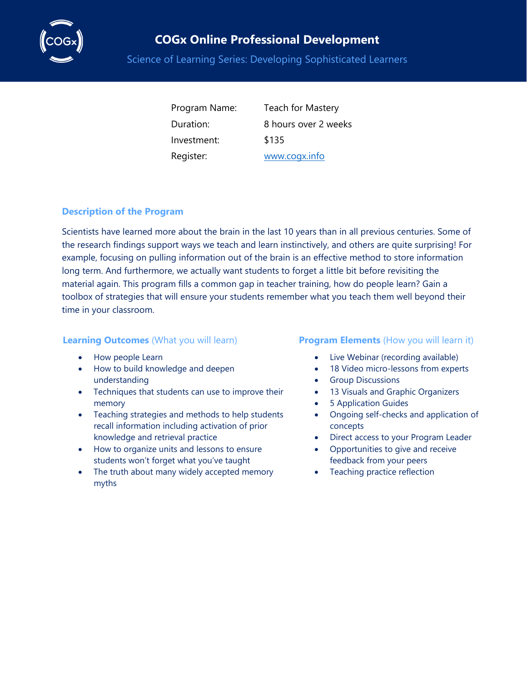

## **COGx Online Professional Development**

Science of Learning Series: Developing Sophisticated Learners

Investment: \$135 Register: [www.cogx.info](http://www.cogx.info/)

Program Name: Teach for Mastery Duration: 8 hours over 2 weeks

### **Description of the Program**

Scientists have learned more about the brain in the last 10 years than in all previous centuries. Some of the research findings support ways we teach and learn instinctively, and others are quite surprising! For example, focusing on pulling information out of the brain is an effective method to store information long term. And furthermore, we actually want students to forget a little bit before revisiting the material again. This program fills a common gap in teacher training, how do people learn? Gain a toolbox of strategies that will ensure your students remember what you teach them well beyond their time in your classroom.

- How people Learn
- How to build knowledge and deepen understanding
- Techniques that students can use to improve their memory
- Teaching strategies and methods to help students recall information including activation of prior knowledge and retrieval practice
- How to organize units and lessons to ensure students won't forget what you've taught
- The truth about many widely accepted memory myths

#### **Learning Outcomes** (What you will learn) **Program Elements** (How you will learn it)

- Live Webinar (recording available)
- 18 Video micro-lessons from experts
- Group Discussions
- 13 Visuals and Graphic Organizers
- 5 Application Guides
- Ongoing self-checks and application of concepts
- Direct access to your Program Leader
- Opportunities to give and receive feedback from your peers
- Teaching practice reflection